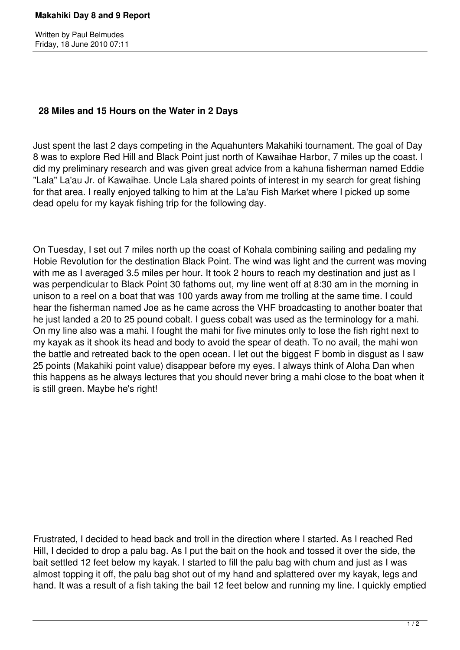Written by Paul Belmudes Friday, 18 June 2010 07:11

## **28 Miles and 15 Hours on the Water in 2 Days**

Just spent the last 2 days competing in the Aquahunters Makahiki tournament. The goal of Day 8 was to explore Red Hill and Black Point just north of Kawaihae Harbor, 7 miles up the coast. I did my preliminary research and was given great advice from a kahuna fisherman named Eddie "Lala" La'au Jr. of Kawaihae. Uncle Lala shared points of interest in my search for great fishing for that area. I really enjoyed talking to him at the La'au Fish Market where I picked up some dead opelu for my kayak fishing trip for the following day.

On Tuesday, I set out 7 miles north up the coast of Kohala combining sailing and pedaling my Hobie Revolution for the destination Black Point. The wind was light and the current was moving with me as I averaged 3.5 miles per hour. It took 2 hours to reach my destination and just as I was perpendicular to Black Point 30 fathoms out, my line went off at 8:30 am in the morning in unison to a reel on a boat that was 100 yards away from me trolling at the same time. I could hear the fisherman named Joe as he came across the VHF broadcasting to another boater that he just landed a 20 to 25 pound cobalt. I guess cobalt was used as the terminology for a mahi. On my line also was a mahi. I fought the mahi for five minutes only to lose the fish right next to my kayak as it shook its head and body to avoid the spear of death. To no avail, the mahi won the battle and retreated back to the open ocean. I let out the biggest F bomb in disgust as I saw 25 points (Makahiki point value) disappear before my eyes. I always think of Aloha Dan when this happens as he always lectures that you should never bring a mahi close to the boat when it is still green. Maybe he's right!

Frustrated, I decided to head back and troll in the direction where I started. As I reached Red Hill, I decided to drop a palu bag. As I put the bait on the hook and tossed it over the side, the bait settled 12 feet below my kayak. I started to fill the palu bag with chum and just as I was almost topping it off, the palu bag shot out of my hand and splattered over my kayak, legs and hand. It was a result of a fish taking the bail 12 feet below and running my line. I quickly emptied